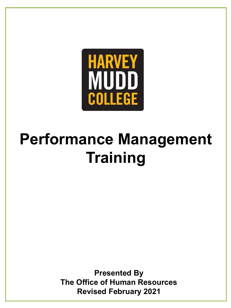

# **Performance Management Training**

**Presented By The Office of Human Resources Revised February 2021**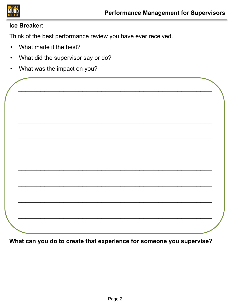

## **Ice Breaker:**

Think of the best performance review you have ever received.

\_\_\_\_\_\_\_\_\_\_\_\_\_\_\_\_\_\_\_\_\_\_\_\_\_\_\_\_\_\_\_\_\_\_\_\_\_\_\_\_\_\_\_\_\_\_\_\_\_\_\_

\_\_\_\_\_\_\_\_\_\_\_\_\_\_\_\_\_\_\_\_\_\_\_\_\_\_\_\_\_\_\_\_\_\_\_\_\_\_\_\_\_\_\_\_\_\_\_\_\_\_\_

\_\_\_\_\_\_\_\_\_\_\_\_\_\_\_\_\_\_\_\_\_\_\_\_\_\_\_\_\_\_\_\_\_\_\_\_\_\_\_\_\_\_\_\_\_\_\_\_\_\_\_

\_\_\_\_\_\_\_\_\_\_\_\_\_\_\_\_\_\_\_\_\_\_\_\_\_\_\_\_\_\_\_\_\_\_\_\_\_\_\_\_\_\_\_\_\_\_\_\_\_\_\_

\_\_\_\_\_\_\_\_\_\_\_\_\_\_\_\_\_\_\_\_\_\_\_\_\_\_\_\_\_\_\_\_\_\_\_\_\_\_\_\_\_\_\_\_\_\_\_\_\_\_\_

\_\_\_\_\_\_\_\_\_\_\_\_\_\_\_\_\_\_\_\_\_\_\_\_\_\_\_\_\_\_\_\_\_\_\_\_\_\_\_\_\_\_\_\_\_\_\_\_\_\_\_

\_\_\_\_\_\_\_\_\_\_\_\_\_\_\_\_\_\_\_\_\_\_\_\_\_\_\_\_\_\_\_\_\_\_\_\_\_\_\_\_\_\_\_\_\_\_\_\_\_\_\_

\_\_\_\_\_\_\_\_\_\_\_\_\_\_\_\_\_\_\_\_\_\_\_\_\_\_\_\_\_\_\_\_\_\_\_\_\_\_\_\_\_\_\_\_\_\_\_\_\_\_\_

\_\_\_\_\_\_\_\_\_\_\_\_\_\_\_\_\_\_\_\_\_\_\_\_\_\_\_\_\_\_\_\_\_\_\_\_\_\_\_\_\_\_\_\_\_\_\_\_\_\_\_

- What made it the best?
- What did the supervisor say or do?
- What was the impact on you?

**What can you do to create that experience for someone you supervise?**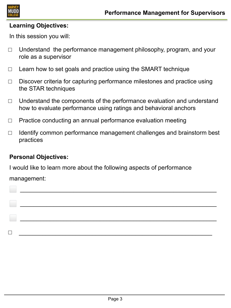

#### **Learning Objectives:**

In this session you will:

- $\Box$  Understand the performance management philosophy, program, and your role as a supervisor
- $\Box$  Learn how to set goals and practice using the SMART technique
- $\Box$  Discover criteria for capturing performance milestones and practice using the STAR techniques
- $\Box$  Understand the components of the performance evaluation and understand how to evaluate performance using ratings and behavioral anchors
- $\Box$  Practice conducting an annual performance evaluation meeting
- $\Box$  Identify common performance management challenges and brainstorm best practices

# **Personal Objectives:**

I would like to learn more about the following aspects of performance

management:

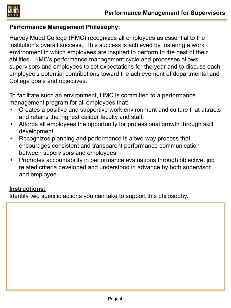

#### **Performance Management Philosophy:**

Harvey Mudd College (HMC) recognizes all employees as essential to the institution's overall success. This success is achieved by fostering a work environment in which employees are inspired to perform to the best of their abilities. HMC's performance management cycle and processes allows supervisors and employees to set expectations for the year and to discuss each employee's potential contributions toward the achievement of departmental and College goals and objectives.

To facilitate such an environment, HMC is committed to a performance management program for all employees that:

- Creates a positive and supportive work environment and culture that attracts and retains the highest caliber faculty and staff.
- Affords all employees the opportunity for professional growth through skill development.
- Recognizes planning and performance is a two-way process that encourages consistent and transparent performance communication between supervisors and employees.
- Promotes accountability in performance evaluations through objective, job related criteria developed and understood in advance by both supervisor and employee

## **Instructions:**

Identify two specific actions you can take to support this philosophy.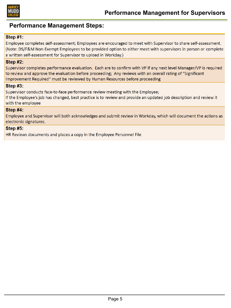

#### **Performance Management Steps:**

#### Step #1:

Employee completes self-assessment; Employees are encouraged to meet with Supervisor to share self-assessment. (Note: DS/F&M Non-Exempt Employees to be provided option to either meet with supervisors in person or complete a written self-assessment for Supervisor to upload in Workday.)

#### **Step #2:**

Supervisor completes performance evaluation. Each are to confirm with VP if any next level Manager/VP is required to review and approve the evaluation before proceeding; Any reviews with an overall rating of "Significant Improvement Required" must be reviewed by Human Resources before proceeding

#### **Step #3:**

Supervisor conducts face-to-face performance review meeting with the Employee;

If the Employee's job has changed, best practice is to review and provide an updated job description and review it with the employee

#### Step #4:

Employee and Supervisor will both acknowledges and submit review in Workday, which will document the actions as electronic signatures.

#### **Step #5:**

HR Reviews documents and places a copy in the Employee Personnel File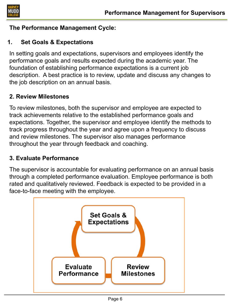

# **The Performance Management Cycle:**

# **1. Set Goals & Expectations**

In setting goals and expectations, supervisors and employees identify the performance goals and results expected during the academic year. The foundation of establishing performance expectations is a current job description. A best practice is to review, update and discuss any changes to the job description on an annual basis.

# **2. Review Milestones**

To review milestones, both the supervisor and employee are expected to track achievements relative to the established performance goals and expectations. Together, the supervisor and employee identify the methods to track progress throughout the year and agree upon a frequency to discuss and review milestones. The supervisor also manages performance throughout the year through feedback and coaching.

# **3. Evaluate Performance**

The supervisor is accountable for evaluating performance on an annual basis through a completed performance evaluation. Employee performance is both rated and qualitatively reviewed. Feedback is expected to be provided in a face-to-face meeting with the employee.

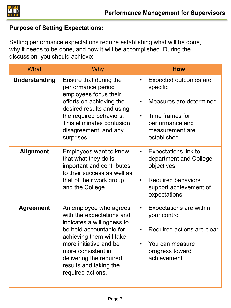

# **Purpose of Setting Expectations:**

Setting performance expectations require establishing what will be done, why it needs to be done, and how it will be accomplished. During the discussion, you should achieve:

| What                 | <b>Why</b>                                                                                                                                                                                                                                                         | <b>How</b>                                                                                                                                                                  |
|----------------------|--------------------------------------------------------------------------------------------------------------------------------------------------------------------------------------------------------------------------------------------------------------------|-----------------------------------------------------------------------------------------------------------------------------------------------------------------------------|
| <b>Understanding</b> | Ensure that during the<br>performance period<br>employees focus their<br>efforts on achieving the<br>desired results and using<br>the required behaviors.<br>This eliminates confusion<br>disagreement, and any<br>surprises.                                      | Expected outcomes are<br>$\bullet$<br>specific<br>Measures are determined<br>$\bullet$<br>Time frames for<br>$\bullet$<br>performance and<br>measurement are<br>established |
| <b>Alignment</b>     | Employees want to know<br>that what they do is<br>important and contributes<br>to their success as well as<br>that of their work group<br>and the College.                                                                                                         | <b>Expectations link to</b><br>$\bullet$<br>department and College<br>objectives<br><b>Required behaviors</b><br>$\bullet$<br>support achievement of<br>expectations        |
| <b>Agreement</b>     | An employee who agrees<br>with the expectations and<br>indicates a willingness to<br>be held accountable for<br>achieving them will take<br>more initiative and be<br>more consistent in<br>delivering the required<br>results and taking the<br>required actions. | Expectations are within<br>$\bullet$<br>your control<br>Required actions are clear<br>$\bullet$<br>You can measure<br>$\bullet$<br>progress toward<br>achievement           |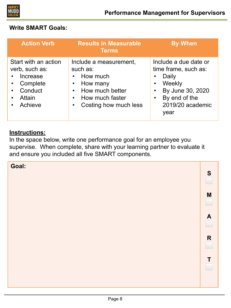

# **Write SMART Goals:**

| <b>Action Verb</b>                                                                             | <b>Results in Measurable</b><br><b>Terms</b>                                                                              | <b>By When</b>                                                                                                                    |  |  |
|------------------------------------------------------------------------------------------------|---------------------------------------------------------------------------------------------------------------------------|-----------------------------------------------------------------------------------------------------------------------------------|--|--|
| Start with an action<br>verb, such as:<br>Increase<br>Complete<br>Conduct<br>Attain<br>Achieve | Include a measurement,<br>such as:<br>How much<br>How many<br>How much better<br>How much faster<br>Costing how much less | Include a due date or<br>time frame, such as:<br>Daily<br>Weekly<br>By June 30, 2020<br>By end of the<br>2019/20 academic<br>year |  |  |

#### **Instructions:**

In the space below, write one performance goal for an employee you supervise. When complete, share with your learning partner to evaluate it and ensure you included all five SMART components.

| Goal: | S                |
|-------|------------------|
|       | M                |
|       | $\boldsymbol{A}$ |
|       | $\mathbf R$      |
|       | T                |
|       |                  |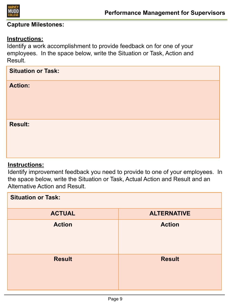

#### **Capture Milestones:**

#### **Instructions:**

Identify a work accomplishment to provide feedback on for one of your employees. In the space below, write the Situation or Task, Action and Result.

| <b>Situation or Task:</b> |  |
|---------------------------|--|
| <b>Action:</b>            |  |
| <b>Result:</b>            |  |

#### **Instructions:**

Identify improvement feedback you need to provide to one of your employees. In the space below, write the Situation or Task, Actual Action and Result and an Alternative Action and Result.

| <b>Situation or Task:</b> |                    |  |  |
|---------------------------|--------------------|--|--|
| <b>ACTUAL</b>             | <b>ALTERNATIVE</b> |  |  |
| <b>Action</b>             | <b>Action</b>      |  |  |
| <b>Result</b>             | <b>Result</b>      |  |  |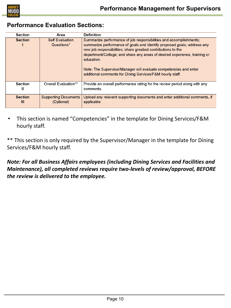

# **Performance Evaluation Sections:**

| <b>Section</b>      | Area                                      | <b>Definition</b>                                                                                                                                                                                                                                                                                                                                                      |
|---------------------|-------------------------------------------|------------------------------------------------------------------------------------------------------------------------------------------------------------------------------------------------------------------------------------------------------------------------------------------------------------------------------------------------------------------------|
| <b>Section</b>      | <b>Self Evaluation</b>                    | Summarize performance of job responsibilities and accomplishments;                                                                                                                                                                                                                                                                                                     |
|                     | Questions*                                | summarize performance of goals and identify proposed goals; address any<br>new job responsibilities; share greatest contributions to the<br>department/College; and share any areas of desired experience, training or<br>education.<br>Note: The Supervisor/Manager will evaluate competencies and enter<br>additional comments for Dining Services/F&M hourly staff. |
| <b>Section</b><br>Ш | Overall Evaluation**                      | Provide an overall performance rating for the review period along with any<br>comments.                                                                                                                                                                                                                                                                                |
| <b>Section</b><br>Ш | <b>Supporting Documents</b><br>(Optional) | Upload any relevant supporting documents and enter additional comments, if<br>applicable                                                                                                                                                                                                                                                                               |

• This section is named "Competencies" in the template for Dining Services/F&M hourly staff.

\*\* This section is only required by the Supervisor/Manager in the template for Dining Services/F&M hourly staff.

*Note: For all Business Affairs employees (including Dining Services and Facilities and Maintenance), all completed reviews require two-levels of review/approval, BEFORE the review is delivered to the employee.*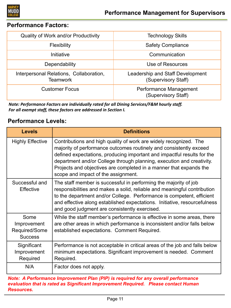

#### **Performance Factors:**

| Quality of Work and/or Productivity                 | <b>Technology Skills</b>                                |  |  |
|-----------------------------------------------------|---------------------------------------------------------|--|--|
| <b>Flexibility</b>                                  | <b>Safety Compliance</b>                                |  |  |
| Initiative                                          | Communication                                           |  |  |
| Dependability                                       | Use of Resources                                        |  |  |
| Interpersonal Relations, Collaboration,<br>Teamwork | Leadership and Staff Development<br>(Supervisory Staff) |  |  |
| <b>Customer Focus</b>                               | Performance Management<br>(Supervisory Staff)           |  |  |

*Note: Performance Factors are individually rated for all Dining Services/F&M hourly staff. For all exempt staff, these factors are addressed in Section I.*

## **Performance Levels:**

| <b>Levels</b>                                          | <b>Definitions</b>                                                                                                                                                                                                                                                                                                                                                                                       |
|--------------------------------------------------------|----------------------------------------------------------------------------------------------------------------------------------------------------------------------------------------------------------------------------------------------------------------------------------------------------------------------------------------------------------------------------------------------------------|
| <b>Highly Effective</b>                                | Contributions and high quality of work are widely recognized. The<br>majority of performance outcomes routinely and consistently exceed<br>defined expectations, producing important and impactful results for the<br>department and/or College through planning, execution and creativity.<br>Projects and objectives are completed in a manner that expands the<br>scope and impact of the assignment. |
| Successful and<br><b>Effective</b>                     | The staff member is successful in performing the majority of job<br>responsibilities and makes a solid, reliable and meaningful contribution<br>to the department and/or College. Performance is competent, efficient<br>and effective along established expectations. Initiative, resourcefulness<br>and good judgment are consistently exercised.                                                      |
| Some<br>Improvement<br>Required/Some<br><b>Success</b> | While the staff member's performance is effective in some areas, there<br>are other areas in which performance is inconsistent and/or falls below<br>established expectations. Comment Required.                                                                                                                                                                                                         |
| Significant<br>Improvement<br>Required                 | Performance is not acceptable in critical areas of the job and falls below<br>minimum expectations. Significant improvement is needed. Comment<br>Required.                                                                                                                                                                                                                                              |
| N/A                                                    | Factor does not apply.                                                                                                                                                                                                                                                                                                                                                                                   |

*Note: A Performance Improvement Plan (PIP) is required for any overall performance evaluation that is rated as Significant Improvement Required. Please contact Human Resources.*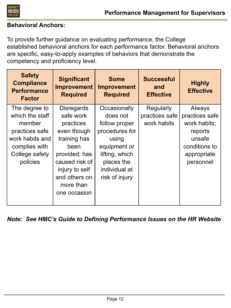

# **Behavioral Anchors:**

To provide further guidance on evaluating performance, the College established behavioral anchors for each performance factor. Behavioral anchors are specific, easy-to-apply examples of behaviors that demonstrate the competency and proficiency level.

| <b>Safety</b><br><b>Compliance</b><br><b>Performance</b><br><b>Factor</b> | <b>Significant</b><br><b>Improvement</b><br><b>Required</b> | <b>Some</b><br><b>Improvement</b><br><b>Required</b> | <b>Successful</b><br>and<br><b>Effective</b> | <b>Highly</b><br><b>Effective</b> |
|---------------------------------------------------------------------------|-------------------------------------------------------------|------------------------------------------------------|----------------------------------------------|-----------------------------------|
| The degree to                                                             | <b>Disregards</b>                                           | Occasionally                                         | Regularly                                    | Always                            |
| which the staff                                                           | safe work                                                   | does not                                             | practices safe                               | practices safe                    |
| member                                                                    | practices                                                   | follow proper                                        | work habits                                  | work habits;                      |
| practices safe                                                            | even though                                                 | procedures for                                       |                                              | reports                           |
| work habits and                                                           | training has                                                | using                                                |                                              | unsafe                            |
| complies with                                                             | been                                                        | equipment or                                         |                                              | conditions to                     |
| College safety                                                            | provided; has                                               | lifting, which                                       |                                              | appropriate                       |
| policies                                                                  | caused risk of                                              | places the                                           |                                              | personnel                         |
|                                                                           | injury to self                                              | individual at                                        |                                              |                                   |
|                                                                           | and others on<br>more than<br>one occasion                  | risk of injury                                       |                                              |                                   |

*Note: See HMC's Guide to Defining Performance Issues on the HR Website*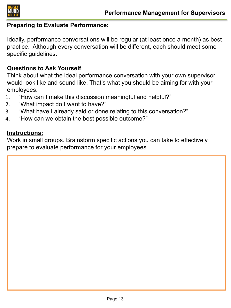

#### **Preparing to Evaluate Performance:**

Ideally, performance conversations will be regular (at least once a month) as best practice. Although every conversation will be different, each should meet some specific guidelines.

## **Questions to Ask Yourself**

Think about what the ideal performance conversation with your own supervisor would look like and sound like. That's what you should be aiming for with your employees.

- 1. "How can I make this discussion meaningful and helpful?"
- 2. "What impact do I want to have?"
- 3. "What have I already said or done relating to this conversation?"
- 4. "How can we obtain the best possible outcome?"

#### **Instructions:**

Work in small groups. Brainstorm specific actions you can take to effectively prepare to evaluate performance for your employees.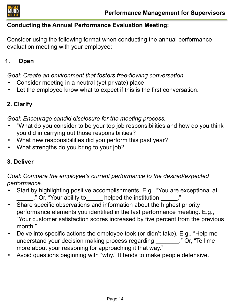

# **Conducting the Annual Performance Evaluation Meeting:**

Consider using the following format when conducting the annual performance evaluation meeting with your employee:

# **1. Open**

*Goal: Create an environment that fosters free-flowing conversation.*

- Consider meeting in a neutral (yet private) place
- Let the employee know what to expect if this is the first conversation.

# **2. Clarify**

*Goal: Encourage candid disclosure for the meeting process.*

- "What do you consider to be your top job responsibilities and how do you think you did in carrying out those responsibilities?
- What new responsibilities did you perform this past year?
- What strengths do you bring to your job?

# **3. Deliver**

*Goal: Compare the employee's current performance to the desired/expected performance.*

- Start by highlighting positive accomplishments. E.g., "You are exceptional at ." Or, "Your ability to \_\_\_\_\_ helped the institution \_\_\_\_\_.
- Share specific observations and information about the highest priority performance elements you identified in the last performance meeting. E.g., "Your customer satisfaction scores increased by five percent from the previous month."
- Delve into specific actions the employee took (or didn't take). E.g., "Help me understand your decision making process regarding The "Or, "Tell me" more about your reasoning for approaching it that way."
- Avoid questions beginning with "why." It tends to make people defensive.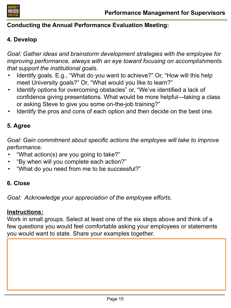

# **Conducting the Annual Performance Evaluation Meeting:**

# **4. Develop**

*Goal: Gather ideas and brainstorm development strategies with the employee for improving performance, always with an eye toward focusing on accomplishments that support the institutional goals.*

- Identify goals. E.g., "What do you want to achieve?" Or, "How will this help meet University goals?" Or, "What would you like to learn?"
- Identify options for overcoming obstacles" or, "We've identified a lack of confidence giving presentations. What would be more helpful—taking a class or asking Steve to give you some on-the-job training?"
- Identify the pros and cons of each option and then decide on the best one.

# **5. Agree**

*Goal: Gain commitment about specific actions the employee will take to improve performance.*

- "What action(s) are you going to take?"
- "By when will you complete each action?"
- "What do you need from me to be successful?"

# **6. Close**

*Goal: Acknowledge your appreciation of the employee efforts.*

# **Instructions:**

Work in small groups. Select at least one of the six steps above and think of a few questions you would feel comfortable asking your employees or statements you would want to state. Share your examples together.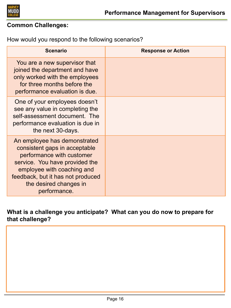

# **Common Challenges:**

How would you respond to the following scenarios?

| <b>Scenario</b>                                                                                                                                                                                                                           | <b>Response or Action</b> |
|-------------------------------------------------------------------------------------------------------------------------------------------------------------------------------------------------------------------------------------------|---------------------------|
| You are a new supervisor that<br>joined the department and have<br>only worked with the employees<br>for three months before the<br>performance evaluation is due.                                                                        |                           |
| One of your employees doesn't<br>see any value in completing the<br>self-assessment document. The<br>performance evaluation is due in<br>the next 30-days.                                                                                |                           |
| An employee has demonstrated<br>consistent gaps in acceptable<br>performance with customer<br>service. You have provided the<br>employee with coaching and<br>feedback, but it has not produced<br>the desired changes in<br>performance. |                           |

**What is a challenge you anticipate? What can you do now to prepare for that challenge?**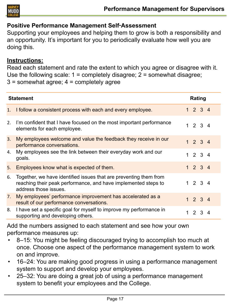

# **Positive Performance Management Self**‑**Assessment**

Supporting your employees and helping them to grow is both a responsibility and an opportunity. It's important for you to periodically evaluate how well you are doing this.

## **Instructions:**

Read each statement and rate the extent to which you agree or disagree with it. Use the following scale:  $1 =$  completely disagree;  $2 =$  somewhat disagree;  $3 =$  somewhat agree;  $4 =$  completely agree

| <b>Statement</b> |                                                                                                                                                              | Rating |                 |  |  |
|------------------|--------------------------------------------------------------------------------------------------------------------------------------------------------------|--------|-----------------|--|--|
| 1.               | I follow a consistent process with each and every employee.                                                                                                  |        | 1234            |  |  |
| 2.               | I'm confident that I have focused on the most important performance<br>elements for each employee.                                                           |        | 1234            |  |  |
| 3.               | My employees welcome and value the feedback they receive in our<br>performance conversations.                                                                |        | 1234            |  |  |
| 4.               | My employees see the link between their everyday work and our<br>goals.                                                                                      |        | 1234            |  |  |
| 5.               | Employees know what is expected of them.                                                                                                                     |        | $1 2 3 4$       |  |  |
| 6.               | Together, we have identified issues that are preventing them from<br>reaching their peak performance, and have implemented steps to<br>address those issues. |        | 1234            |  |  |
| 7.               | My employees' performance improvement has accelerated as a<br>result of our performance conversations.                                                       |        | 1234            |  |  |
| 8.               | I have set a specific goal for myself to improve my performance in<br>supporting and developing others.                                                      |        | $1 \t2 \t3 \t4$ |  |  |

Add the numbers assigned to each statement and see how your own performance measures up:

- 8–15: You might be feeling discouraged trying to accomplish too much at once. Choose one aspect of the performance management system to work on and improve.
- 16–24: You are making good progress in using a performance management system to support and develop your employees.
- 25–32: You are doing a great job of using a performance management system to benefit your employees and the College.